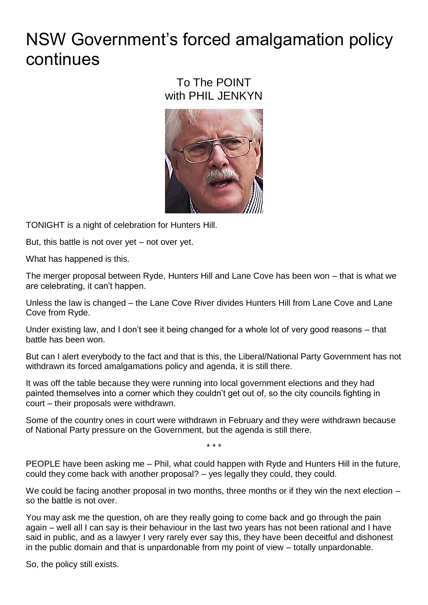## NSW Government's forced amalgamation policy continues

## To The POINT with PHIL JENKYN



TONIGHT is a night of celebration for Hunters Hill.

But, this battle is not over yet – not over yet.

What has happened is this.

The merger proposal between Ryde, Hunters Hill and Lane Cove has been won – that is what we are celebrating, it can't happen.

Unless the law is changed – the Lane Cove River divides Hunters Hill from Lane Cove and Lane Cove from Ryde.

Under existing law, and I don't see it being changed for a whole lot of very good reasons – that battle has been won.

But can I alert everybody to the fact and that is this, the Liberal/National Party Government has not withdrawn its forced amalgamations policy and agenda, it is still there.

It was off the table because they were running into local government elections and they had painted themselves into a corner which they couldn't get out of, so the city councils fighting in court – their proposals were withdrawn.

Some of the country ones in court were withdrawn in February and they were withdrawn because of National Party pressure on the Government, but the agenda is still there.

\* \* \*

PEOPLE have been asking me – Phil, what could happen with Ryde and Hunters Hill in the future, could they come back with another proposal? – yes legally they could, they could.

We could be facing another proposal in two months, three months or if they win the next election – so the battle is not over.

You may ask me the question, oh are they really going to come back and go through the pain again – well all I can say is their behaviour in the last two years has not been rational and I have said in public, and as a lawyer I very rarely ever say this, they have been deceitful and dishonest in the public domain and that is unpardonable from my point of view – totally unpardonable.

So, the policy still exists.